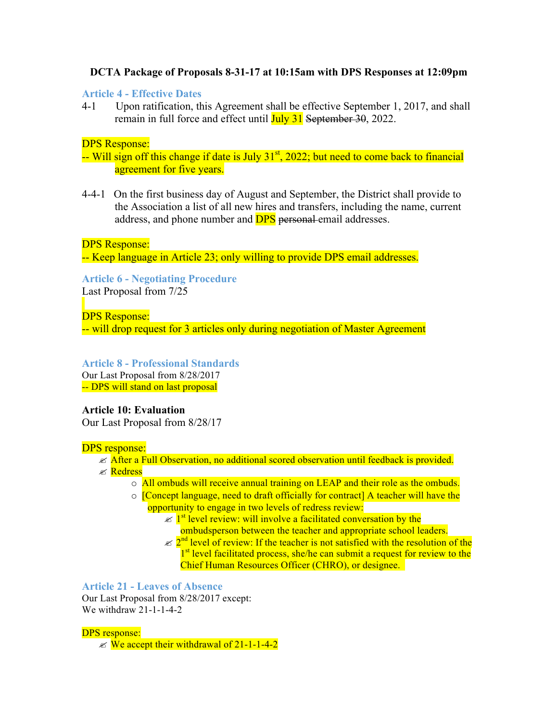# **DCTA Package of Proposals 8-31-17 at 10:15am with DPS Responses at 12:09pm**

## **Article 4 - Effective Dates**

4-1 Upon ratification, this Agreement shall be effective September 1, 2017, and shall remain in full force and effect until **July 31** September 30, 2022.

## DPS Response:

 $-$  Will sign off this change if date is July  $31<sup>st</sup>$ , 2022; but need to come back to financial agreement for five years.

4-4-1 On the first business day of August and September, the District shall provide to the Association a list of all new hires and transfers, including the name, current address, and phone number and **DPS** personal-email addresses.

DPS Response:

-- Keep language in Article 23; only willing to provide DPS email addresses.

# **Article 6 - Negotiating Procedure**

Last Proposal from 7/25

DPS Response:

-- will drop request for 3 articles only during negotiation of Master Agreement

# **Article 8 - Professional Standards**

Our Last Proposal from 8/28/2017 -- DPS will stand on last proposal

# **Article 10: Evaluation**

Our Last Proposal from 8/28/17

## DPS response:

# $\ll$  After a Full Observation, no additional scored observation until feedback is provided.

- *E* Redress
	- o All ombuds will receive annual training on LEAP and their role as the ombuds.
	- o [Concept language, need to draft officially for contract] A teacher will have the opportunity to engage in two levels of redress review:
		- $\ll 1<sup>st</sup>$  level review: will involve a facilitated conversation by the ombudsperson between the teacher and appropriate school leaders.
		- $\ll 2^{nd}$  level of review: If the teacher is not satisfied with the resolution of the 1<sup>st</sup> level facilitated process, she/he can submit a request for review to the Chief Human Resources Officer (CHRO), or designee.

# **Article 21 - Leaves of Absence**

Our Last Proposal from 8/28/2017 except: We withdraw 21-1-1-4-2

## DPS response:

 $\mathscr{L}$  We accept their withdrawal of 21-1-1-4-2